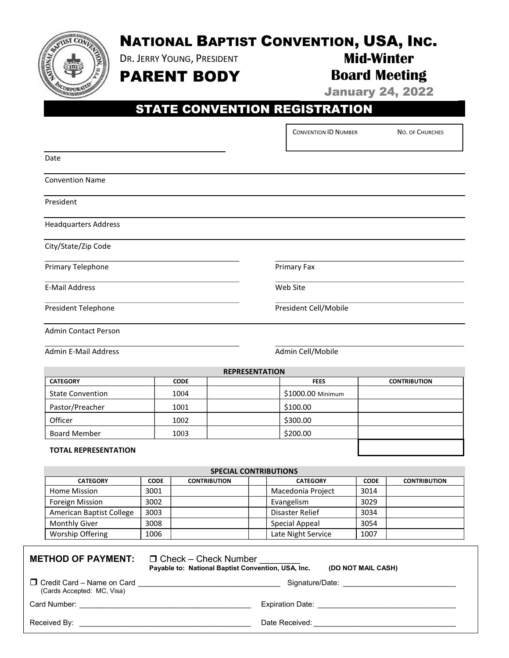

# NATIONAL BAPTIST CONVENTION, USA, INC.

DR. JERRY YOUNG, PRESIDENT

PARENT BODY

### Mid-Winter Board Meeting

January 24, 2022

## STATE CONVENTION REGISTRATION

CONVENTION ID NUMBER NO. OF CHURCHES

| Date                         |             |                       |                       |                     |  |  |  |
|------------------------------|-------------|-----------------------|-----------------------|---------------------|--|--|--|
| <b>Convention Name</b>       |             |                       |                       |                     |  |  |  |
| President                    |             |                       |                       |                     |  |  |  |
| <b>Headquarters Address</b>  |             |                       |                       |                     |  |  |  |
| City/State/Zip Code          |             |                       |                       |                     |  |  |  |
| Primary Telephone            |             |                       | Primary Fax           |                     |  |  |  |
| <b>E-Mail Address</b>        |             |                       | Web Site              |                     |  |  |  |
| President Telephone          |             |                       | President Cell/Mobile |                     |  |  |  |
| <b>Admin Contact Person</b>  |             |                       |                       |                     |  |  |  |
| <b>Admin E-Mail Address</b>  |             |                       | Admin Cell/Mobile     |                     |  |  |  |
|                              |             | <b>REPRESENTATION</b> |                       |                     |  |  |  |
| <b>CATEGORY</b>              | <b>CODE</b> |                       | <b>FEES</b>           | <b>CONTRIBUTION</b> |  |  |  |
| <b>State Convention</b>      | 1004        |                       | \$1000.00 Minimum     |                     |  |  |  |
| Pastor/Preacher              | 1001        |                       | \$100.00              |                     |  |  |  |
| Officer                      | 1002        |                       | \$300.00              |                     |  |  |  |
| <b>Board Member</b>          | 1003        |                       | \$200.00              |                     |  |  |  |
| <b>TOTAL REPRESENTATION</b>  |             |                       |                       |                     |  |  |  |
| <b>SPECIAL CONTRIBUTIONS</b> |             |                       |                       |                     |  |  |  |
|                              |             |                       |                       |                     |  |  |  |

| <b>SPELIAL LUN INDUTIUNS</b> |             |                     |  |                    |             |                     |  |  |
|------------------------------|-------------|---------------------|--|--------------------|-------------|---------------------|--|--|
| <b>CATEGORY</b>              | <b>CODE</b> | <b>CONTRIBUTION</b> |  | <b>CATEGORY</b>    | <b>CODE</b> | <b>CONTRIBUTION</b> |  |  |
| Home Mission                 | 3001        |                     |  | Macedonia Project  | 3014        |                     |  |  |
| Foreign Mission              | 3002        |                     |  | Evangelism         | 3029        |                     |  |  |
| American Baptist College     | 3003        |                     |  | Disaster Relief    | 3034        |                     |  |  |
| <b>Monthly Giver</b>         | 3008        |                     |  | Special Appeal     | 3054        |                     |  |  |
| Worship Offering             | 1006        |                     |  | Late Night Service | 1007        |                     |  |  |

#### **METHOD OF PAYMENT:**  $\Box$  Check – Check Number

Payable to: National Baptist Convention, USA, Inc. (DO NOT MAIL CASH)

 $\square$  Credit Card – Name on Card  $\square$ (Cards Accepted: MC, Visa)

Card Number: \_\_\_\_\_\_\_\_\_\_\_\_\_\_\_\_\_\_\_\_\_\_\_\_\_\_\_\_\_\_\_\_\_\_\_\_\_\_\_\_\_ Expiration Date: \_\_\_\_\_\_\_\_\_\_\_\_\_\_\_\_\_\_\_\_\_\_\_\_\_\_\_\_\_\_\_\_\_

Received By: The control of the second state  $\Gamma$  at the Received:  $\Gamma$